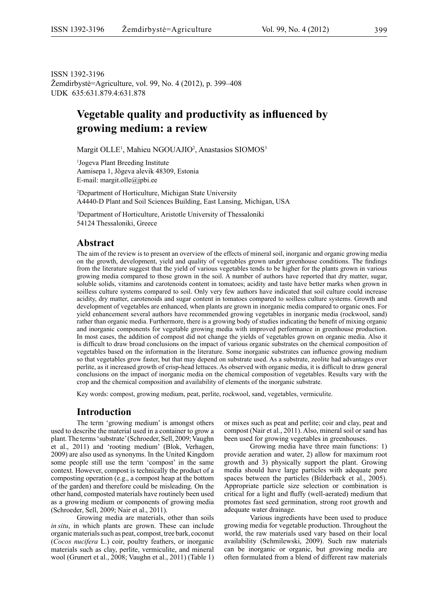ISSN 1392-3196 Žemdirbystė=Agriculture, vol. 99, No. 4 (2012), p. 399–408 UDK 635:631.879.4:631.878

## **Vegetable quality and productivity as influenced by growing medium: a review**

Margit OLLE<sup>1</sup>, Mahieu NGOUAJIO<sup>2</sup>, Anastasios SIOMOS<sup>3</sup>

1 Jogeva Plant Breeding Institute Aamisepa 1, Jõgeva alevik 48309, Estonia E-mail: margit.olle@jpbi.ee

2 Department of Horticulture, Michigan State University A4440-D Plant and Soil Sciences Building, East Lansing, Michigan, USA

3 Department of Horticulture, Aristotle University of Thessaloniki 54124 Thessaloniki, Greece

#### **Abstract**

The aim of the review is to present an overview of the effects of mineral soil, inorganic and organic growing media on the growth, development, yield and quality of vegetables grown under greenhouse conditions. The findings from the literature suggest that the yield of various vegetables tends to be higher for the plants grown in various growing media compared to those grown in the soil. A number of authors have reported that dry matter, sugar, soluble solids, vitamins and carotenoids content in tomatoes; acidity and taste have better marks when grown in soilless culture systems compared to soil. Only very few authors have indicated that soil culture could increase acidity, dry matter, carotenoids and sugar content in tomatoes compared to soilless culture systems. Growth and development of vegetables are enhanced, when plants are grown in inorganic media compared to organic ones. For yield enhancement several authors have recommended growing vegetables in inorganic media (rockwool, sand) rather than organic media. Furthermore, there is a growing body of studies indicating the benefit of mixing organic and inorganic components for vegetable growing media with improved performance in greenhouse production. In most cases, the addition of compost did not change the yields of vegetables grown on organic media. Also it is difficult to draw broad conclusions on the impact of various organic substrates on the chemical composition of vegetables based on the information in the literature. Some inorganic substrates can influence growing medium so that vegetables grow faster, but that may depend on substrate used. As a substrate, zeolite had advantages over perlite, as it increased growth of crisp-head lettuces. As observed with organic media, it is difficult to draw general conclusions on the impact of inorganic media on the chemical composition of vegetables. Results vary with the crop and the chemical composition and availability of elements of the inorganic substrate.

Key words: compost, growing medium, peat, perlite, rockwool, sand, vegetables, vermiculite.

#### **Introduction**

The term 'growing medium' is amongst others used to describe the material used in a container to grow a plant. The terms 'substrate' (Schroeder, Sell, 2009; Vaughn et al., 2011) and 'rooting medium' (Blok, Verhagen, 2009) are also used as synonyms. In the United Kingdom some people still use the term 'compost' in the same context. However, compost is technically the product of a composting operation (e.g., a compost heap at the bottom of the garden) and therefore could be misleading. On the other hand, composted materials have routinely been used as a growing medium or components of growing media (Schroeder, Sell, 2009; Nair et al., 2011).

Growing media are materials, other than soils *in situ*, in which plants are grown. These can include organic materials such as peat, compost, tree bark, coconut (*Cocos nucifera* L.) coir, poultry feathers, or inorganic materials such as clay, perlite, vermiculite, and mineral wool (Grunert et al., 2008; Vaughn et al., 2011) (Table 1) or mixes such as peat and perlite; coir and clay, peat and compost (Nair et al., 2011). Also, mineral soil or sand has been used for growing vegetables in greenhouses.

Growing media have three main functions: 1) provide aeration and water, 2) allow for maximum root growth and 3) physically support the plant. Growing media should have large particles with adequate pore spaces between the particles (Bilderback et al., 2005). Appropriate particle size selection or combination is critical for a light and fluffy (well-aerated) medium that promotes fast seed germination, strong root growth and adequate water drainage.

Various ingredients have been used to produce growing media for vegetable production. Throughout the world, the raw materials used vary based on their local availability (Schmilewski, 2009). Such raw materials can be inorganic or organic, but growing media are often formulated from a blend of different raw materials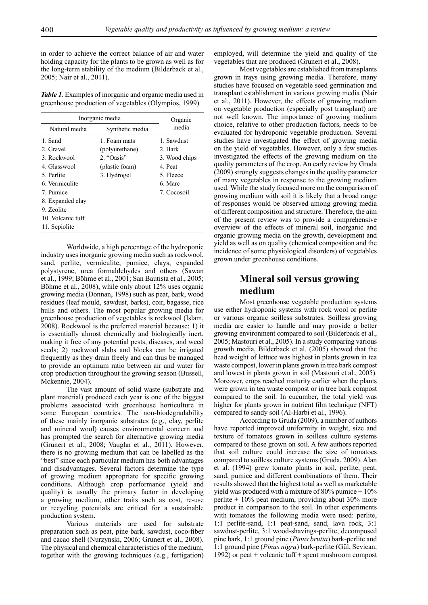in order to achieve the correct balance of air and water holding capacity for the plants to be grown as well as for the long-term stability of the medium (Bilderback et al., 2005; Nair et al., 2011).

*Table 1.* Examples of inorganic and organic media used in greenhouse production of vegetables (Olympios, 1999)

| Inorganic media   |                                  | Organic       |  |
|-------------------|----------------------------------|---------------|--|
|                   | Natural media<br>Synthetic media |               |  |
| 1 Sand            | 1. Foam mats                     | 1 Sawdust     |  |
| 2. Gravel         | (polyurethane)                   | 2. Bark       |  |
| 3 Rockwool        | 2. "Oasis"                       | 3. Wood chips |  |
| 4. Glasswool      | (plastic foam)                   | 4. Peat       |  |
| 5 Perlite         | 3. Hydrogel                      | 5. Fleece     |  |
| 6 Vermiculite     |                                  | 6 Marc        |  |
| 7. Pumice         |                                  | 7. Cocosoil   |  |
| 8. Expanded clay  |                                  |               |  |
| 9 Zeolite         |                                  |               |  |
| 10. Volcanic tuff |                                  |               |  |
| 11. Sepiolite     |                                  |               |  |

Worldwide, a high percentage of the hydroponic industry uses inorganic growing media such as rockwool, sand, perlite, vermiculite, pumice, clays, expanded polystyrene, urea formaldehydes and others (Sawan et al., 1999; Böhme et al., 2001; San Bautista et al., 2005; Böhme et al., 2008), while only about 12% uses organic growing media (Donnan, 1998) such as peat, bark, wood residues (leaf mould, sawdust, barks), coir, bagasse, rice hulls and others. The most popular growing media for greenhouse production of vegetables is rockwool (Islam, 2008). Rockwool is the preferred material because: 1) it is essentially almost chemically and biologically inert, making it free of any potential pests, diseases, and weed seeds; 2) rockwool slabs and blocks can be irrigated frequently as they drain freely and can thus be managed to provide an optimum ratio between air and water for crop production throughout the growing season (Bussell, Mckennie, 2004).

The vast amount of solid waste (substrate and plant material) produced each year is one of the biggest problems associated with greenhouse horticulture in some European countries. The non-biodegradability of these mainly inorganic substrates (e.g., clay, perlite and mineral wool) causes environmental concern and has prompted the search for alternative growing media (Grunert et al., 2008; Vaughn et al., 2011). However, there is no growing medium that can be labelled as the "best" since each particular medium has both advantages and disadvantages. Several factors determine the type of growing medium appropriate for specific growing conditions. Although crop performance (yield and quality) is usually the primary factor in developing a growing medium, other traits such as cost, re-use or recycling potentials are critical for a sustainable production system.

Various materials are used for substrate preparation such as peat, pine bark, sawdust, coco-fiber and cacao shell (Nurzynski, 2006; Grunert et al., 2008). The physical and chemical characteristics of the medium, together with the growing techniques (e.g., fertigation)

employed, will determine the yield and quality of the vegetables that are produced (Grunert et al., 2008).

Most vegetables are established from transplants grown in trays using growing media. Therefore, many studies have focused on vegetable seed germination and transplant establishment in various growing media (Nair et al., 2011). However, the effects of growing medium on vegetable production (especially post transplant) are not well known. The importance of growing medium choice, relative to other production factors, needs to be evaluated for hydroponic vegetable production. Several studies have investigated the effect of growing media on the yield of vegetables. However, only a few studies investigated the effects of the growing medium on the quality parameters of the crop. An early review by Gruda (2009) strongly suggests changes in the quality parameter of many vegetables in response to the growing medium used. While the study focused more on the comparison of growing medium with soil it is likely that a broad range of responses would be observed among growing media of different composition and structure. Therefore, the aim of the present review was to provide a comprehensive overview of the effects of mineral soil, inorganic and organic growing media on the growth, development and yield as well as on quality (chemical composition and the incidence of some physiological disorders) of vegetables grown under greenhouse conditions.

## **Mineral soil versus growing medium**

Most greenhouse vegetable production systems use either hydroponic systems with rock wool or perlite or various organic soilless substrates. Soilless growing media are easier to handle and may provide a better growing environment compared to soil (Bilderback et al., 2005; Mastouri et al., 2005). In a study comparing various growth media, Bilderback et al. (2005) showed that the head weight of lettuce was highest in plants grown in tea waste compost, lower in plants grown in tree bark compost and lowest in plants grown in soil (Mastouri et al., 2005). Moreover, crops reached maturity earlier when the plants were grown in tea waste compost or in tree bark compost compared to the soil. In cucumber, the total yield was higher for plants grown in nutrient film technique (NFT) compared to sandy soil (Al-Harbi et al., 1996).

According to Gruda (2009), a number of authors have reported improved uniformity in weight, size and texture of tomatoes grown in soilless culture systems compared to those grown on soil. A few authors reported that soil culture could increase the size of tomatoes compared to soilless culture systems (Gruda, 2009). Alan et al. (1994) grew tomato plants in soil, perlite, peat, sand, pumice and different combinations of them. Their results showed that the highest total as well as marketable yield was produced with a mixture of  $80\%$  pumice  $+10\%$ perlite + 10% peat medium, providing about 30% more product in comparison to the soil. In other experiments with tomatoes the following media were used: perlite, 1:1 perlite-sand, 1:1 peat-sand, sand, lava rock, 3:1 sawdust-perlite, 3:1 wood-shavings-perlite, decomposed pine bark, 1:1 ground pine (*Pinus brutia*) bark-perlite and 1:1 ground pine (*Pinus nigra*) bark-perlite (Gül, Sevican, 1992) or peat  $+$  volcanic tuff  $+$  spent mushroom compost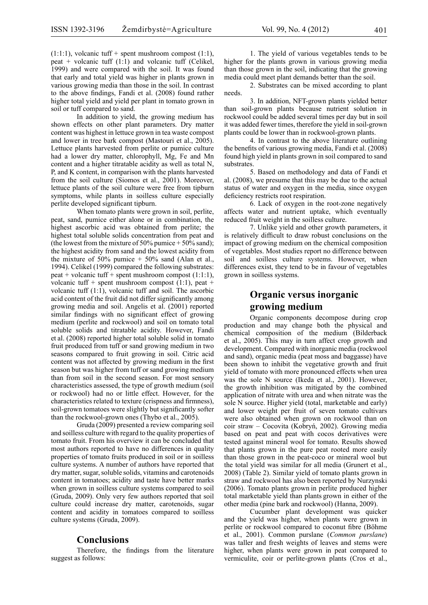$(1:1:1)$ , volcanic tuff + spent mushroom compost  $(1:1)$ , peat + volcanic tuff  $(1:1)$  and volcanic tuff (Celikel, 1999) and were compared with the soil. It was found that early and total yield was higher in plants grown in various growing media than those in the soil. In contrast to the above findings, Fandi et al. (2008) found rather higher total yield and yield per plant in tomato grown in soil or tuff compared to sand.

In addition to yield, the growing medium has shown effects on other plant parameters. Dry matter content was highest in lettuce grown in tea waste compost and lower in tree bark compost (Mastouri et al., 2005). Lettuce plants harvested from perlite or pumice culture had a lower dry matter, chlorophyll, Mg, Fe and Mn content and a higher titratable acidity as well as total N, P, and K content, in comparison with the plants harvested from the soil culture (Siomos et al., 2001). Moreover, lettuce plants of the soil culture were free from tipburn symptoms, while plants in soilless culture especially perlite developed significant tipburn.

When tomato plants were grown in soil, perlite, peat, sand, pumice either alone or in combination, the highest ascorbic acid was obtained from perlite; the highest total soluble solids concentration from peat and (the lowest from the mixture of 50% pumice  $+$  50% sand); the highest acidity from sand and the lowest acidity from the mixture of  $50\%$  pumice +  $50\%$  sand (Alan et al., 1994). Celikel (1999) compared the following substrates: peat + volcanic tuff + spent mushroom compost (1:1:1), volcanic tuff + spent mushroom compost  $(1:1)$ , peat + volcanic tuff (1:1), volcanic tuff and soil. The ascorbic acid content of the fruit did not differ significantly among growing media and soil. Angelis et al. (2001) reported similar findings with no significant effect of growing medium (perlite and rockwool) and soil on tomato total soluble solids and titratable acidity. However, Fandi et al. (2008) reported higher total soluble solid in tomato fruit produced from tuff or sand growing medium in two seasons compared to fruit growing in soil. Citric acid content was not affected by growing medium in the first season but was higher from tuff or sand growing medium than from soil in the second season. For most sensory characteristics assessed, the type of growth medium (soil or rockwool) had no or little effect. However, for the characteristics related to texture (crispness and firmness), soil-grown tomatoes were slightly but significantly softer than the rockwool-grown ones (Thybo et al., 2005).

Gruda (2009) presented a review comparing soil and soilless culture with regard to the quality properties of tomato fruit. From his overview it can be concluded that most authors reported to have no differences in quality properties of tomato fruits produced in soil or in soilless culture systems. A number of authors have reported that dry matter, sugar, soluble solids, vitamins and carotenoids content in tomatoes; acidity and taste have better marks when grown in soilless culture systems compared to soil (Gruda, 2009). Only very few authors reported that soil culture could increase dry matter, carotenoids, sugar content and acidity in tomatoes compared to soilless culture systems (Gruda, 2009).

#### **Conclusions**

Therefore, the findings from the literature suggest as follows:

1. The yield of various vegetables tends to be higher for the plants grown in various growing media than those grown in the soil, indicating that the growing media could meet plant demands better than the soil.

2. Substrates can be mixed according to plant needs.

3. In addition, NFT-grown plants yielded better than soil-grown plants because nutrient solution in rockwool could be added several times per day but in soil it was added fewer times, therefore the yield in soil-grown plants could be lower than in rockwool-grown plants.

4. In contrast to the above literature outlining the benefits of various growing media, Fandi et al. (2008) found high yield in plants grown in soil compared to sand substrates.

5. Based on methodology and data of Fandi et al. (2008), we presume that this may be due to the actual status of water and oxygen in the media, since oxygen deficiency restricts root respiration.

6. Lack of oxygen in the root-zone negatively affects water and nutrient uptake, which eventually reduced fruit weight in the soilless culture.

7. Unlike yield and other growth parameters, it is relatively difficult to draw robust conclusions on the impact of growing medium on the chemical composition of vegetables. Most studies report no difference between soil and soilless culture systems. However, when differences exist, they tend to be in favour of vegetables grown in soilless systems.

## **Organic versus inorganic growing medium**

Organic components decompose during crop production and may change both the physical and chemical composition of the medium (Bilderback et al., 2005). This may in turn affect crop growth and development. Compared with inorganic media (rockwool and sand), organic media (peat moss and baggasse) have been shown to inhibit the vegetative growth and fruit yield of tomato with more pronounced effects when urea was the sole N source (Ikeda et al., 2001). However, the growth inhibition was mitigated by the combined application of nitrate with urea and when nitrate was the sole N source. Higher yield (total, marketable and early) and lower weight per fruit of seven tomato cultivars were also obtained when grown on rockwool than on coir straw – Cocovita (Kobryń, 2002). Growing media based on peat and peat with cocos derivatives were tested against mineral wool for tomato. Results showed that plants grown in the pure peat rooted more easily than those grown in the peat-coco or mineral wool but the total yield was similar for all media (Grunert et al., 2008) (Table 2). Similar yield of tomato plants grown in straw and rockwool has also been reported by Nurzynski (2006). Tomato plants grown in perlite produced higher total marketable yield than plants grown in either of the other media (pine bark and rockwool) (Hanna, 2009).

Cucumber plant development was quicker and the yield was higher, when plants were grown in perlite or rockwool compared to coconut fibre (Böhme et al., 2001). Common purslane (*Common purslane*) was taller and fresh weights of leaves and stems were higher, when plants were grown in peat compared to vermiculite, coir or perlite-grown plants (Cros et al.,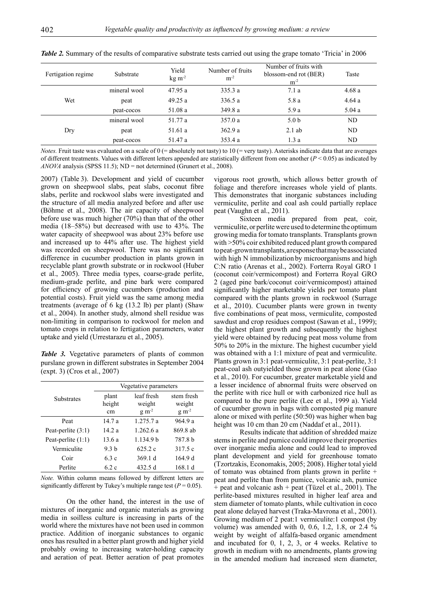| Fertigation regime | Substrate    | Yield<br>$kg \, m-2$ | Number of fruits<br>$m^{-2}$ | Number of fruits with<br>blossom-end rot (BER)<br>$m^{-2}$ | Taste |
|--------------------|--------------|----------------------|------------------------------|------------------------------------------------------------|-------|
| Wet                | mineral wool | 47.95 a              | 335.3a                       | 7.1a                                                       | 4.68a |
|                    | peat         | 49.25a               | 336.5a                       | 5.8 a                                                      | 4.64a |
|                    | peat-cocos   | 51.08 a              | 349.8a                       | 5.9a                                                       | 5.04a |
| Dry                | mineral wool | 51.77 a              | 357.0a                       | 5.0 <sub>b</sub>                                           | ND    |
|                    | peat         | 51.61 a              | 362.9a                       | $2.1$ ab                                                   | ND    |
|                    | peat-cocos   | 51.47 a              | 353.4a                       | 1.3a                                                       | ND    |

*Table 2.* Summary of the results of comparative substrate tests carried out using the grape tomato 'Tricia' in 2006

*Notes.* Fruit taste was evaluated on a scale of  $0$  (= absolutely not tasty) to  $10$  (= very tasty). Asterisks indicate data that are averages of different treatments. Values with different letters appended are statistically different from one another  $(P < 0.05)$  as indicated by *ANOVA* analysis (SPSS 11.5); ND = not determined (Grunert et al., 2008).

2007) (Table 3). Development and yield of cucumber grown on sheepwool slabs, peat slabs, coconut fibre slabs, perlite and rockwool slabs were investigated and the structure of all media analyzed before and after use (Böhme et al., 2008). The air capacity of sheepwool before use was much higher (70%) than that of the other media (18–58%) but decreased with use to 43%. The water capacity of sheepwool was about 23% before use and increased up to 44% after use. The highest yield was recorded on sheepwool. There was no significant difference in cucumber production in plants grown in recyclable plant growth substrate or in rockwool (Huber et al., 2005). Three media types, coarse-grade perlite, medium-grade perlite, and pine bark were compared for efficiency of growing cucumbers (production and potential costs). Fruit yield was the same among media treatments (average of 6 kg (13.2 lb) per plant) (Shaw et al., 2004). In another study, almond shell residue was non-limiting in comparison to rockwool for melon and tomato crops in relation to fertigation parameters, water uptake and yield (Urrestarazu et al., 2005).

*Table 3.* Vegetative parameters of plants of common purslane grown in different substrates in September 2004 (expt. 3) (Cros et al., 2007)

|                      | Vegetative parameters |                      |                      |
|----------------------|-----------------------|----------------------|----------------------|
| <b>Substrates</b>    | plant                 | leaf fresh           | stem fresh           |
|                      | height                | weight               | weight               |
|                      | cm                    | $g \, \text{m}^{-2}$ | $g \, \text{m}^{-2}$ |
| Peat                 | 14.7a                 | 1.275.7a             | 964.9 a              |
| Peat-perlite $(3:1)$ | 14.2a                 | 12626a               | 869.8 ab             |
| Peat-perlite $(1:1)$ | 13.6a                 | 1.134.9 h            | 787.8 b              |
| Vermiculite          | 9.3 <sub>b</sub>      | 625.2c               | 317.5 c              |
| Coir                 | 6.3 c                 | 369.1 d              | 164.9 d              |
| Perlite              | 62 c                  | 432.5 d              | 168.1 d              |

*Note.* Within column means followed by different letters are significantly different by Tukey's multiple range test ( $P = 0.05$ ).

On the other hand, the interest in the use of mixtures of inorganic and organic materials as growing media in soilless culture is increasing in parts of the world where the mixtures have not been used in common practice. Addition of inorganic substances to organic ones has resulted in a better plant growth and higher yield probably owing to increasing water-holding capacity and aeration of peat. Better aeration of peat promotes

vigorous root growth, which allows better growth of foliage and therefore increases whole yield of plants. This demonstrates that inorganic substances including vermiculite, perlite and coal ash could partially replace peat (Vaughn et al., 2011).

Sixteen media prepared from peat, coir, vermiculite, or perlite were used to determine the optimum growing media for tomato transplants. Transplants grown with >50% coir exhibited reduced plant growth compared to peat-grown transplants,a response that may be associated with high N immobilization by microorganisms and high C:N ratio (Arenas et al., 2002). Forterra Royal GRO 1 (coconut coir/vermicompost) and Forterra Royal GRO 2 (aged pine bark/coconut coir/vermicompost) attained significantly higher marketable yields per tomato plant compared with the plants grown in rockwool (Surrage et al., 2010). Cucumber plants were grown in twenty five combinations of peat moss, vermiculite, composted sawdust and crop residues compost (Sawan et al., 1999); the highest plant growth and subsequently the highest yield were obtained by reducing peat moss volume from 50% to 20% in the mixture. The highest cucumber yield was obtained with a 1:1 mixture of peat and vermiculite. Plants grown in 3:1 peat-vermiculite, 3:1 peat-perlite, 3:1 peat-coal ash outyielded those grown in peat alone (Gao et al., 2010). For cucumber, greater marketable yield and a lesser incidence of abnormal fruits were observed on the perlite with rice hull or with carbonized rice hull as compared to the pure perlite (Lee et al., 1999 a). Yield of cucumber grown in bags with composted pig manure alone or mixed with perlite (50:50) was higher when bag height was 10 cm than 20 cm (Naddaf et al., 2011).

Results indicate that addition of shredded maize stems in perlite and pumice could improve their properties over inorganic media alone and could lead to improved plant development and yield for greenhouse tomato (Tzortzakis, Economakis, 2005; 2008). Higher total yield of tomato was obtained from plants grown in perlite + peat and perlite than from pumice, volcanic ash, pumice + peat and volcanic ash + peat (Tüzel et al., 2001). The perlite-based mixtures resulted in higher leaf area and stem diameter of tomato plants, while cultivation in coco peat alone delayed harvest (Traka-Mavrona et al., 2001). Growing medium of 2 peat:1 vermiculite:1 compost (by volume) was amended with 0, 0.6, 1.2, 1.8, or 2.4 % weight by weight of alfalfa-based organic amendment and incubated for 0, 1, 2, 3, or 4 weeks. Relative to growth in medium with no amendments, plants growing in the amended medium had increased stem diameter,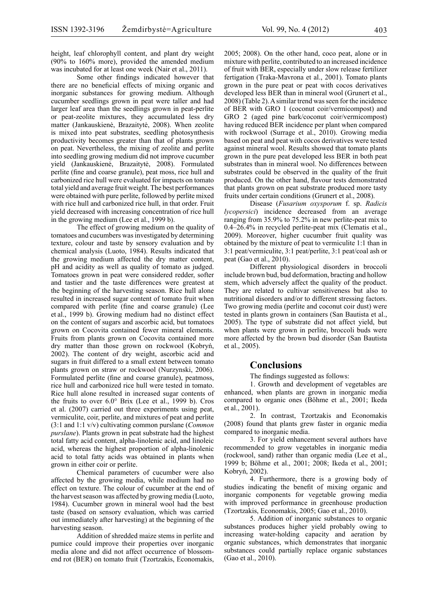height, leaf chlorophyll content, and plant dry weight (90% to 160% more), provided the amended medium was incubated for at least one week (Nair et al., 2011).

Some other findings indicated however that there are no beneficial effects of mixing organic and inorganic substances for growing medium. Although cucumber seedlings grown in peat were taller and had larger leaf area than the seedlings grown in peat-perlite or peat-zeolite mixtures, they accumulated less dry matter (Jankauskienė, Brazaitytė, 2008). When zeolite is mixed into peat substrates, seedling photosynthesis productivity becomes greater than that of plants grown on peat. Nevertheless, the mixing of zeolite and perlite into seedling growing medium did not improve cucumber yield (Jankauskienė, Brazaitytė, 2008). Formulated perlite (fine and coarse granule), peat moss, rice hull and carbonized rice hull were evaluated for impacts on tomato total yield and average fruit weight. The best performances were obtained with pure perlite, followed by perlite mixed with rice hull and carbonized rice hull, in that order. Fruit yield decreased with increasing concentration of rice hull in the growing medium (Lee et al., 1999 b).

The effect of growing medium on the quality of tomatoes and cucumbers was investigated by determining texture, colour and taste by sensory evaluation and by chemical analysis (Luoto, 1984). Results indicated that the growing medium affected the dry matter content, pH and acidity as well as quality of tomato as judged. Tomatoes grown in peat were considered redder, softer and tastier and the taste differences were greatest at the beginning of the harvesting season. Rice hull alone resulted in increased sugar content of tomato fruit when compared with perlite (fine and coarse granule) (Lee et al., 1999 b). Growing medium had no distinct effect on the content of sugars and ascorbic acid, but tomatoes grown on Cocovita contained fewer mineral elements. Fruits from plants grown on Cocovita contained more dry matter than those grown on rockwool (Kobryń, 2002). The content of dry weight, ascorbic acid and sugars in fruit differed to a small extent between tomato plants grown on straw or rockwool (Nurzynski, 2006). Formulated perlite (fine and coarse granule), peatmoss, rice hull and carbonized rice hull were tested in tomato. Rice hull alone resulted in increased sugar contents of the fruits to over 6.0° Brix (Lee et al., 1999 b). Cros et al. (2007) carried out three experiments using peat, vermiculite, coir, perlite, and mixtures of peat and perlite (3:1 and 1:1 v/v) cultivating common purslane (*Common purslane*). Plants grown in peat substrate had the highest total fatty acid content, alpha-linolenic acid, and linoleic acid, whereas the highest proportion of alpha-linolenic acid to total fatty acids was obtained in plants when grown in either coir or perlite.

Chemical parameters of cucumber were also affected by the growing media, while medium had no effect on texture. The colour of cucumber at the end of the harvest season was affected by growing media (Luoto, 1984). Cucumber grown in mineral wool had the best taste (based on sensory evaluation, which was carried out immediately after harvesting) at the beginning of the harvesting season.

Addition of shredded maize stems in perlite and pumice could improve their properties over inorganic media alone and did not affect occurrence of blossomend rot (BER) on tomato fruit (Tzortzakis, Economakis,

2005; 2008). On the other hand, coco peat, alone or in mixture with perlite, contributed to an increased incidence of fruit with BER, especially under slow release fertilizer fertigation (Traka-Mavrona et al., 2001). Tomato plants grown in the pure peat or peat with cocos derivatives developed less BER than in mineral wool (Grunert et al., 2008) (Table 2). A similar trend was seen for the incidence of BER with GRO 1 (coconut coir/vermicompost) and GRO 2 (aged pine bark/coconut coir/vermicompost) having reduced BER incidence per plant when compared with rockwool (Surrage et al., 2010). Growing media based on peat and peat with cocos derivatives were tested against mineral wool. Results showed that tomato plants grown in the pure peat developed less BER in both peat substrates than in mineral wool. No differences between substrates could be observed in the quality of the fruit produced. On the other hand, flavour tests demonstrated that plants grown on peat substrate produced more tasty fruits under certain conditions (Grunert et al., 2008).

Disease (*Fusarium oxysporum* f. sp. *Radicis lycopersici*) incidence decreased from an average ranging from 35.9% to 75.2% in new perlite-peat mix to 0.4–26.4% in recycled perlite-peat mix (Clematis et al., 2009). Moreover, higher cucumber fruit quality was obtained by the mixture of peat to vermiculite 1:1 than in 3:1 peat/vermiculite, 3:1 peat/perlite, 3:1 peat/coal ash or peat (Gao et al., 2010).

Different physiological disorders in broccoli include brown bud, bud deformation, bracting and hollow stem, which adversely affect the quality of the product. They are related to cultivar sensitiveness but also to nutritional disorders and/or to different stressing factors. Two growing media (perlite and coconut coir dust) were tested in plants grown in containers (San Bautista et al., 2005). The type of substrate did not affect yield, but when plants were grown in perlite, broccoli buds were more affected by the brown bud disorder (San Bautista et al., 2005).

#### **Conclusions**

The findings suggested as follows:

1. Growth and development of vegetables are enhanced, when plants are grown in inorganic media compared to organic ones (Böhme et al., 2001; Ikeda et al., 2001).

2. In contrast, Tzortzakis and Economakis (2008) found that plants grew faster in organic media compared to inorganic media.

3. For yield enhancement several authors have recommended to grow vegetables in inorganic media (rockwool, sand) rather than organic media (Lee et al., 1999 b; Böhme et al., 2001; 2008; Ikeda et al., 2001; Kobryń, 2002).

4. Furthermore, there is a growing body of studies indicating the benefit of mixing organic and inorganic components for vegetable growing media with improved performance in greenhouse production (Tzortzakis, Economakis, 2005; Gao et al., 2010).

5. Addition of inorganic substances to organic substances produces higher yield probably owing to increasing water-holding capacity and aeration by organic substances, which demonstrates that inorganic substances could partially replace organic substances (Gao et al., 2010).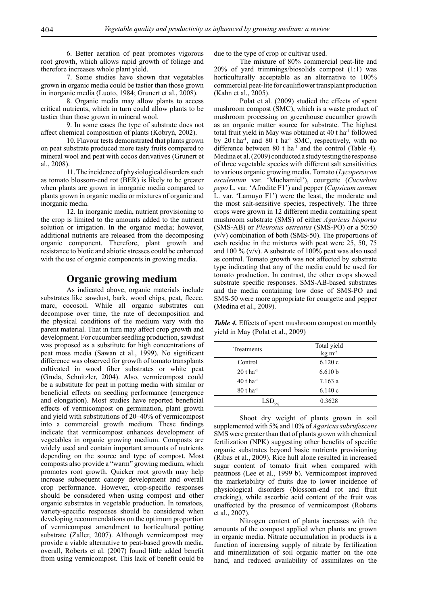6. Better aeration of peat promotes vigorous root growth, which allows rapid growth of foliage and therefore increases whole plant yield.

7. Some studies have shown that vegetables grown in organic media could be tastier than those grown in inorganic media (Luoto, 1984; Grunert et al., 2008).

8. Organic media may allow plants to access critical nutrients, which in turn could allow plants to be tastier than those grown in mineral wool.

9. In some cases the type of substrate does not affect chemical composition of plants (Kobryń, 2002).

10. Flavour tests demonstrated that plants grown on peat substrate produced more tasty fruits compared to mineral wool and peat with cocos derivatives (Grunert et al., 2008).

11. The incidence of physiological disorders such as tomato blossom-end rot (BER) is likely to be greater when plants are grown in inorganic media compared to plants grown in organic media or mixtures of organic and inorganic media.

12. In inorganic media, nutrient provisioning to the crop is limited to the amounts added to the nutrient solution or irrigation. In the organic media; however, additional nutrients are released from the decomposing organic component. Therefore, plant growth and resistance to biotic and abiotic stresses could be enhanced with the use of organic components in growing media.

#### **Organic growing medium**

As indicated above, organic materials include substrates like sawdust, bark, wood chips, peat, fleece, marc, cocosoil. While all organic substrates can decompose over time, the rate of decomposition and the physical conditions of the medium vary with the parent material. That in turn may affect crop growth and development. For cucumber seedling production, sawdust was proposed as a substitute for high concentrations of peat moss media (Sawan et al., 1999). No significant difference was observed for growth of tomato transplants cultivated in wood fiber substrates or white peat (Gruda, Schnitzler, 2004). Also, vermicompost could be a substitute for peat in potting media with similar or beneficial effects on seedling performance (emergence and elongation). Most studies have reported beneficial effects of vermicompost on germination, plant growth and yield with substitutions of 20–40% of vermicompost into a commercial growth medium. These findings indicate that vermicompost enhances development of vegetables in organic growing medium. Composts are widely used and contain important amounts of nutrients depending on the source and type of compost. Most composts also provide a "warm" growing medium, which promotes root growth. Quicker root growth may help increase subsequent canopy development and overall crop performance. However, crop-specific responses should be considered when using compost and other organic substrates in vegetable production. In tomatoes, variety-specific responses should be considered when developing recommendations on the optimum proportion of vermicompost amendment to horticultural potting substrate (Zaller, 2007). Although vermicompost may provide a viable alternative to peat-based growth media, overall, Roberts et al. (2007) found little added benefit from using vermicompost. This lack of benefit could be

due to the type of crop or cultivar used.

The mixture of 80% commercial peat-lite and 20% of yard trimmings/biosolids compost (1:1) was horticulturally acceptable as an alternative to  $100\%$ commercial peat-lite for cauliflower transplant production (Kahn et al., 2005).

Polat et al. (2009) studied the effects of spent mushroom compost (SMC), which is a waste product of mushroom processing on greenhouse cucumber growth as an organic matter source for substrate. The highest total fruit yield in May was obtained at 40 t ha-1 followed by  $20$  t ha<sup>-1</sup>, and  $80$  t ha<sup>-1</sup> SMC, respectively, with no difference between  $80$  t ha<sup>-1</sup> and the control (Table 4). Medina et al. (2009) conducted a study testing the response of three vegetable species with different salt sensitivities to various organic growing media. Tomato (*Lycopersicon esculentum* var. 'Muchamiel'), courgette (*Cucurbita pepo* L. var. 'Afrodite F1') and pepper (*Capsicum annum* L. var. 'Lamuyo F1') were the least, the moderate and the most salt-sensitive species, respectively. The three crops were grown in 12 different media containing spent mushroom substrate (SMS) of either *Agaricus bisporus* (SMS-AB) or *Pleurotus ostreatus* (SMS-PO) or a 50:50 (v/v) combination of both (SMS-50). The proportions of each residue in the mixtures with peat were 25, 50, 75 and 100 % (v/v). A substrate of 100% peat was also used as control. Tomato growth was not affected by substrate type indicating that any of the media could be used for tomato production. In contrast, the other crops showed substrate specific responses. SMS-AB-based substrates and the media containing low dose of SMS-PO and SMS-50 were more appropriate for courgette and pepper (Medina et al., 2009).

*Table 4.* Effects of spent mushroom compost on monthly yield in May (Polat et al., 2009)

| Treatments              | Total yield<br>$kg \, m^{-2}$ |
|-------------------------|-------------------------------|
| Control                 | 6.120c                        |
| $20$ t ha <sup>-1</sup> | 6.610 b                       |
| 40 t ha $^{-1}$         | 7.163a                        |
| $80$ t ha <sup>-1</sup> | 6.140c                        |
| LSD <sub>5%</sub>       | 0.3628                        |

Shoot dry weight of plants grown in soil supplemented with 5% and 10% of *Agaricus subrufescens* SMS were greater than that of plants grown with chemical fertilization (NPK) suggesting other benefits of specific organic substrates beyond basic nutrients provisioning (Ribas et al., 2009). Rice hull alone resulted in increased sugar content of tomato fruit when compared with peatmoss (Lee et al., 1999 b). Vermicompost improved the marketability of fruits due to lower incidence of physiological disorders (blossom-end rot and fruit cracking), while ascorbic acid content of the fruit was unaffected by the presence of vermicompost (Roberts et al., 2007).

Nitrogen content of plants increases with the amounts of the compost applied when plants are grown in organic media. Nitrate accumulation in products is a function of increasing supply of nitrate by fertilization and mineralization of soil organic matter on the one hand, and reduced availability of assimilates on the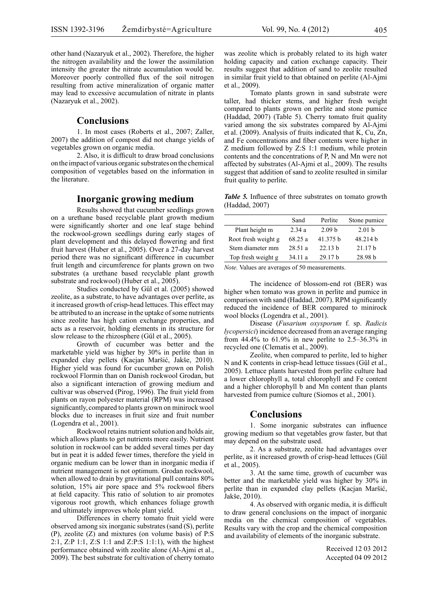other hand (Nazaryuk et al., 2002). Therefore, the higher the nitrogen availability and the lower the assimilation intensity the greater the nitrate accumulation would be. Moreover poorly controlled flux of the soil nitrogen resulting from active mineralization of organic matter may lead to excessive accumulation of nitrate in plants (Nazaryuk et al., 2002).

#### **Conclusions**

1. In most cases (Roberts et al., 2007; Zaller, 2007) the addition of compost did not change yields of vegetables grown on organic media.

2. Also, it is difficult to draw broad conclusions on the impact of various organic substrates on the chemical composition of vegetables based on the information in the literature.

#### **Inorganic growing medium**

Results showed that cucumber seedlings grown on a urethane based recyclable plant growth medium were significantly shorter and one leaf stage behind the rockwool-grown seedlings during early stages of plant development and this delayed flowering and first fruit harvest (Huber et al., 2005). Over a 27-day harvest period there was no significant difference in cucumber fruit length and circumference for plants grown on two substrates (a urethane based recyclable plant growth substrate and rockwool) (Huber et al., 2005).

Studies conducted by Gül et al. (2005) showed zeolite, as a substrate, to have advantages over perlite, as it increased growth of crisp-head lettuces. This effect may be attributed to an increase in the uptake of some nutrients since zeolite has high cation exchange properties, and acts as a reservoir, holding elements in its structure for slow release to the rhizosphere (Gül et al., 2005).

Growth of cucumber was better and the marketable yield was higher by 30% in perlite than in expanded clay pellets (Kacjan Maršić, Jakše, 2010). Higher yield was found for cucumber grown on Polish rockwool Flormin than on Danish rockwool Grodan, but also a significant interaction of growing medium and cultivar was observed (Pirog, 1996). The fruit yield from plants on rayon polyester material (RPM) was increased significantly, compared to plants grown on minirock wool blocks due to increases in fruit size and fruit number (Logendra et al., 2001).

Rockwool retains nutrient solution and holds air, which allows plants to get nutrients more easily. Nutrient solution in rockwool can be added several times per day but in peat it is added fewer times, therefore the yield in organic medium can be lower than in inorganic media if nutrient management is not optimum. Grodan rockwool, when allowed to drain by gravitational pull contains 80% solution, 15% air pore space and 5% rockwool fibers at field capacity. This ratio of solution to air promotes vigorous root growth, which enhances foliage growth and ultimately improves whole plant yield.

Differences in cherry tomato fruit yield were observed among six inorganic substrates (sand (S), perlite (P), zeolite (Z) and mixtures (on volume basis) of P:S 2:1, Z:P 1:1, Z:S 1:1 and Z:P:S 1:1:1), with the highest performance obtained with zeolite alone (Al-Ajmi et al., 2009). The best substrate for cultivation of cherry tomato was zeolite which is probably related to its high water holding capacity and cation exchange capacity. Their results suggest that addition of sand to zeolite resulted in similar fruit yield to that obtained on perlite (Al-Ajmi et al., 2009).

Tomato plants grown in sand substrate were taller, had thicker stems, and higher fresh weight compared to plants grown on perlite and stone pumice (Haddad, 2007) (Table 5). Cherry tomato fruit quality varied among the six substrates compared by Al-Ajmi et al. (2009). Analysis of fruits indicated that K, Cu, Zn, and Fe concentrations and fiber contents were higher in Z medium followed by Z:S 1:1 medium, while protein contents and the concentrations of P, N and Mn were not affected by substrates (Al-Ajmi et al., 2009). The results suggest that addition of sand to zeolite resulted in similar fruit quality to perlite.

*Table 5.* Influence of three substrates on tomato growth (Haddad, 2007)

|                     | Sand    | Perlite           | Stone pumice      |
|---------------------|---------|-------------------|-------------------|
| Plant height m      | 2.34a   | 2.09 <sub>b</sub> | 2.01 <sub>b</sub> |
| Root fresh weight g | 68.25 a | 41.375 b          | 48.214 b          |
| Stem diameter mm    | 28.51 a | 22.13 h           | 21.17h            |
| Top fresh weight g  | 34 11 a | 2917h             | 28.98 h           |

*Note.* Values are averages of 50 measurements.

The incidence of blossom-end rot (BER) was higher when tomato was grown in perlite and pumice in comparison with sand (Haddad, 2007). RPM significantly reduced the incidence of BER compared to minirock wool blocks (Logendra et al., 2001).

Disease (*Fusarium oxysporum* f. sp. *Radicis lycopersici*) incidence decreased from an average ranging from 44.4% to 61.9% in new perlite to 2.5–36.3% in recycled one (Clematis et al., 2009).

Zeolite, when compared to perlite, led to higher N and K contents in crisp-head lettuce tissues (Gül et al., 2005). Lettuce plants harvested from perlite culture had a lower chlorophyll a, total chlorophyll and Fe content and a higher chlorophyll b and Mn content than plants harvested from pumice culture (Siomos et al., 2001).

#### **Conclusions**

1. Some inorganic substrates can influence growing medium so that vegetables grow faster, but that may depend on the substrate used.

2. As a substrate, zeolite had advantages over perlite, as it increased growth of crisp-head lettuces (Gül et al., 2005).

3. At the same time, growth of cucumber was better and the marketable yield was higher by 30% in perlite than in expanded clay pellets (Kacjan Maršić, Jakše, 2010).

4. As observed with organic media, it is difficult to draw general conclusions on the impact of inorganic media on the chemical composition of vegetables. Results vary with the crop and the chemical composition and availability of elements of the inorganic substrate.

> Received 12 03 2012 Accepted 04 09 2012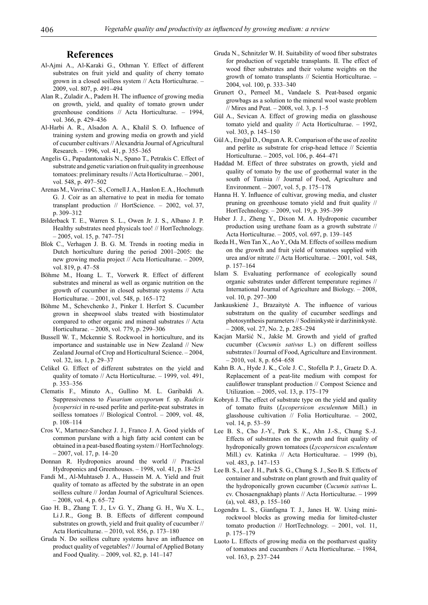#### **References**

- Al-Ajmi A., Al-Karaki G., Othman Y. Effect of different substrates on fruit yield and quality of cherry tomato grown in a closed soilless system // Acta Horticulturae. – 2009, vol. 807, p. 491–494
- Alan R., Zuladir A., Padem H. The influence of growing media on growth, yield, and quality of tomato grown under greenhouse conditions // Acta Horticulturae. – 1994, vol. 366, p. 429–436
- Al-Harbi A. R., Alsadon A. A., Khalil S. O. Influence of training system and growing media on growth and yield of cucumber cultivars // Alexandria Journal of Agricultural Research. – 1996, vol. 41, p. 355–365
- Angelis G., Papadantonakis N., Spano T., Petrakis C. Effect of substrate and genetic variation on fruit quality in greenhouse tomatoes: preliminary results // Acta Horticulturae. – 2001, vol. 548, p. 497–502
- Arenas M., Vavrina C. S., Cornell J. A., Hanlon E. A., Hochmuth G. J. Coir as an alternative to peat in media for tomato transplant production // HortScience. – 2002, vol. 37, p. 309–312
- Bilderback T. E., Warren S. L., Owen Jr. J. S., Albano J. P. Healthy substrates need physicals too! // HortTechnology. – 2005, vol. 15, p. 747–751
- Blok C., Verhagen J. B. G. M. Trends in rooting media in Dutch horticulture during the period 2001–2005: the new growing media project // Acta Horticulturae. – 2009, vol. 819, p. 47–58
- Böhme M., Hoang L. T., Vorwerk R. Effect of different substrates and mineral as well as organic nutrition on the growth of cucumber in closed substrate systems // Acta Horticulturae. – 2001, vol. 548, p. 165–172
- Böhme M., Schevchenko J., Pinker I. Herfort S. Cucumber grown in sheepwool slabs treated with biostimulator compared to other organic and mineral substrates // Acta Horticulturae. – 2008, vol. 779, p. 299–306
- Bussell W. T., Mckennie S. Rockwool in horticulture, and its importance and sustainable use in New Zealand // New Zealand Journal of Crop and Horticultural Science. – 2004, vol. 32, iss. 1, p. 29–37
- Celikel G. Effect of different substrates on the yield and quality of tomato // Acta Horticulturae. – 1999, vol. 491, p. 353–356
- Clematis F., Minuto A., Gullino M. L. Garibaldi A. Suppressiveness to *Fusarium oxysporum* f. sp. *Radicis lycopersici* in re-used perlite and perlite-peat substrates in soilless tomatoes // Biological Control. – 2009, vol. 48, p. 108–114
- Cros V., Martınez-Sanchez J. J., Franco J. A. Good yields of common purslane with a high fatty acid content can be obtained in a peat-based floating system // HortTechnology.  $-2007$ , vol. 17, p. 14–20
- Donnan R. Hydroponics around the world // Practical Hydroponics and Greenhouses. – 1998, vol. 41, p. 18–25
- Fandi M., Al-Muhtaseb J. A., Hussein M. A. Yield and fruit quality of tomato as affected by the substrate in an open soilless culture // Jordan Journal of Agricultural Sciences.  $-2008$ , vol. 4, p. 65–72
- Gao H. B., Zhang T. J., Lv G. Y., Zhang G. H., Wu X. L., Li J. R., Gong B. B. Effects of different compound substrates on growth, yield and fruit quality of cucumber // Acta Horticulturae. – 2010, vol. 856, p. 173–180
- Gruda N. Do soilless culture systems have an influence on product quality of vegetables? // Journal of Applied Botany and Food Quality. – 2009, vol. 82, p. 141–147
- Gruda N., Schnitzler W. H. Suitability of wood fiber substrates for production of vegetable transplants. II. The effect of wood fiber substrates and their volume weights on the growth of tomato transplants // Scientia Horticulturae. – 2004, vol. 100, p. 333–340
- Grunert O., Perneel M., Vandaele S. Peat-based organic growbags as a solution to the mineral wool waste problem // Mires and Peat. – 2008, vol. 3, p. 1–5
- Gül A., Sevican A. Effect of growing media on glasshouse tomato yield and quality // Acta Horticulturae. – 1992, vol. 303, p. 145–150
- Gül A., Eroğul D., Ongun A. R. Comparison of the use of zeolite and perlite as substrate for crisp-head lettuce // Scientia Horticulturae. – 2005, vol. 106, p. 464–471
- Haddad M. Effect of three substrates on growth, yield and quality of tomato by the use of geothermal water in the south of Tunisia // Journal of Food, Agriculture and Environment. – 2007, vol. 5, p. 175–178
- Hanna H. Y. Influence of cultivar, growing media, and cluster pruning on greenhouse tomato yield and fruit quality // HortTechnology. – 2009, vol. 19, p. 395–399
- Huber J. J., Zheng Y., Dixon M. A. Hydroponic cucumber production using urethane foam as a growth substrate // Acta Horticulturae. – 2005, vol. 697, p. 139–145
- Ikeda H., Wen Tan X., Ao Y., Oda M. Effects of soilless medium on the growth and fruit yield of tomatoes supplied with urea and/or nitrate // Acta Horticulturae. – 2001, vol. 548, p. 157–164
- Islam S. Evaluating performance of ecologically sound organic substrates under different temperature regimes // International Journal of Agriculture and Biology. – 2008, vol. 10, p. 297–300
- Jankauskienė J., Brazaitytė A. The influence of various substratum on the quality of cucumber seedlings and photosynthesis parameters // Sodininkystė ir daržininkystė. – 2008, vol. 27, No. 2, p. 285–294
- Kacjan Maršić N., Jakše M. Growth and yield of grafted cucumber (*Cucumis sativus* L.) on different soilless substrates // Journal of Food, Agriculture and Environment.  $-2010$ , vol. 8, p. 654–658
- Kahn B. A., Hyde J. K., Cole J. C., Stofella P. J., Graetz D. A. Replacement of a peat-lite medium with compost for cauliflower transplant production // Compost Science and Utilization. – 2005, vol. 13, p. 175–179
- Kobryń J. The effect of substrate type on the yield and quality of tomato fruits (*Lycopersicon esculentum* Mill.) in glasshouse cultivation // Folia Horticulturae. – 2002, vol. 14, p. 53–59
- Lee B. S., Cho J.-Y., Park S. K., Ahn J.-S., Chung S.-J. Effects of substrates on the growth and fruit quality of hydroponically grown tomatoes (*Lycopersicon esculentum* Mill.) cv. Katinka // Acta Horticulturae. – 1999 (b), vol. 483, p. 147–153
- Lee B. S., Lee J. H., Park S. G., Chung S. J., Seo B. S. Effects of container and substrate on plant growth and fruit quality of the hydroponically grown cucumber (*Cucumis sativus* L. cv. Chosaengnakhap) plants // Acta Horticulturae. – 1999 (a), vol. 483, p. 155–160
- Logendra L. S., Gianfagna T. J., Janes H. W. Using minirockwool blocks as growing media for limited-cluster tomato production // HortTechnology. – 2001, vol. 11, p. 175–179
- Luoto L. Effects of growing media on the postharvest quality of tomatoes and cucumbers // Acta Horticulturae. – 1984, vol. 163, p. 237–244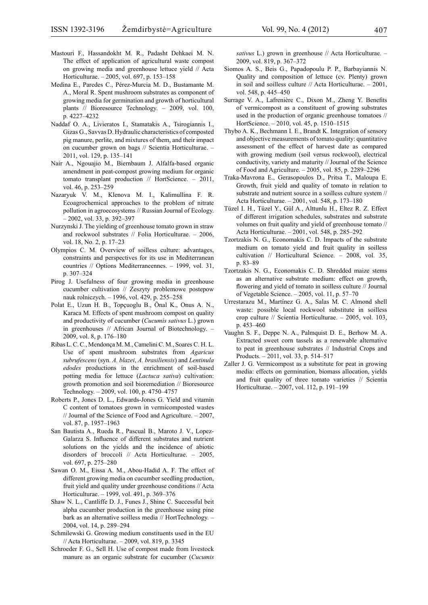- Mastouri F., Hassandokht M. R., Padasht Dehkaei M. N. The effect of application of agricultural waste compost on growing media and greenhouse lettuce yield // Acta Horticulturae. – 2005, vol. 697, p. 153–158
- Medina E., Paredes C., Pérez-Murcia M. D., Bustamante M. A., Moral R. Spent mushroom substrates as component of growing media for germination and growth of horticultural plants // Bioresource Technology. – 2009, vol. 100, p. 4227–4232
- Naddaf O. A., Livieratos I., Stamatakis A., Tsirogiannis I., Gizas G., Savvas D. Hydraulic characteristics of composted pig manure, perlite, and mixtures of them, and their impact on cucumber grown on bags // Scientia Horticulturae. – 2011, vol. 129, p. 135–141
- Nair A., Ngouajio M., Biernbaum J. Alfalfa-based organic amendment in peat-compost growing medium for organic tomato transplant production // HortScience. – 2011, vol. 46, p. 253–259
- Nazaryuk V. M., Klenova M. I., Kalimullina F. R. Ecoagrochemical approaches to the problem of nitrate pollution in agroecosystems // Russian Journal of Ecology. – 2002, vol. 33, p. 392–397
- Nurzynski J. The yielding of greenhouse tomato grown in straw and rockwool substrates // Folia Horticulturae. – 2006, vol. 18, No. 2, p. 17–23
- Olympios C. M. Overview of soilless culture: advantages, constraints and perspectives for its use in Mediterranean countries // Options Mediterraneennes. – 1999, vol. 31, p. 307–324
- Pirog J. Usefulness of four growing media in greenhouse cucumber cultivation // Zeszyty problemowe postepow nauk rolniczych. – 1996, vol. 429, p. 255–258
- Polat E., Uzun H. B., Topçuoglu B., Önal K., Onus A. N., Karaca M. Effects of spent mushroom compost on quality and productivity of cucumber (*Cucumis sativus* L.) grown in greenhouses // African Journal of Biotechnology. – 2009, vol. 8, p. 176–180
- Ribas L. C. C., Mendonça M. M., Camelini C. M., Soares C. H. L. Use of spent mushroom substrates from *Agaricus subrufescens* (syn. *A. blazei*, *A. brasiliensis*) and *Lentinula edodes* productions in the enrichment of soil-based potting media for lettuce (*Lactuca sativa*) cultivation: growth promotion and soil bioremediation // Bioresource Technology. – 2009, vol. 100, p. 4750–4757
- Roberts P., Jones D. L., Edwards-Jones G. Yield and vitamin C content of tomatoes grown in vermicomposted wastes // Journal of the Science of Food and Agriculture. – 2007, vol. 87, p. 1957–1963
- San Bautista A., Rueda R., Pascual B., Maroto J. V., Lopez-Galarza S. Influence of different substrates and nutrient solutions on the yields and the incidence of abiotic disorders of broccoli // Acta Horticulturae. – 2005, vol. 697, p. 275–280
- Sawan O. M., Eissa A. M., Abou-Hadid A. F. The effect of different growing media on cucumber seedling production, fruit yield and quality under greenhouse conditions // Acta Horticulturae. – 1999, vol. 491, p. 369–376
- Shaw N. L., Cantliffe D. J., Funes J., Shine C. Successful beit alpha cucumber production in the greenhouse using pine bark as an alternative soilless media // HortTechnology. – 2004, vol. 14, p. 289–294
- Schmilewski G. Growing medium constituents used in the EU // Acta Horticulturae. – 2009, vol. 819, p. 3345
- Schroeder F. G., Sell H. Use of compost made from livestock manure as an organic substrate for cucumber (*Cucumis*

*sativus* L.) grown in greenhouse // Acta Horticulturae. – 2009, vol. 819, p. 367–372

- Siomos A. S., Beis G., Papadopoulu P. P., Barbayiannis N. Quality and composition of lettuce (cv. Plenty) grown in soil and soilless culture // Acta Horticulturae. – 2001, vol. 548, p. 445–450
- Surrage V. A., Lafrenière C., Dixon M., Zheng Y. Benefits of vermicompost as a constituent of growing substrates used in the production of organic greenhouse tomatoes // HortScience. – 2010, vol. 45, p. 1510–1515
- Thybo A. K., Bechmann I. E., Brandt K. Integration of sensory and objective measurements of tomato quality: quantitative assessment of the effect of harvest date as compared with growing medium (soil versus rockwool), electrical conductivity, variety and maturity // Journal of the Science of Food and Agriculture. – 2005, vol. 85, p. 2289–2296
- Traka-Mavrona E., Gerasopoulos D., Pritsa T., Maloupa E. Growth, fruit yield and quality of tomato in relation to substrate and nutrient source in a soilless culture system // Acta Horticulturae. – 2001, vol. 548, p. 173–180
- Tüzel I. H., Tüzel Y., Gül A., Alttunlu H., Eltez R. Z. Effect of different irrigation schedules, substrates and substrate volumes on fruit quality and yield of greenhouse tomato // Acta Horticulturae. – 2001, vol. 548, p. 285–292
- Tzortzakis N. G., Economakis C. D. Impacts of the substrate medium on tomato yield and fruit quality in soilless cultivation // Horticultural Science. – 2008, vol. 35, p. 83–89
- Tzortzakis N. G., Economakis C. D. Shredded maize stems as an alternative substrate medium: effect on growth, flowering and yield of tomato in soilless culture // Journal of Vegetable Science. – 2005, vol. 11, p. 57–70
- Urrestarazu M., Martínez G. A., Salas M. C. Almond shell waste: possible local rockwool substitute in soilless crop culture // Scientia Horticulturae. – 2005, vol. 103, p. 453–460
- Vaughn S. F., Deppe N. A., Palmquist D. E., Berhow M. A. Extracted sweet corn tassels as a renewable alternative to peat in greenhouse substrates // Industrial Crops and Products. – 2011, vol. 33, p. 514–517
- Zaller J. G. Vermicompost as a substitute for peat in growing media: effects on germination, biomass allocation, yields and fruit quality of three tomato varieties // Scientia Horticulturae. – 2007, vol. 112, p. 191–199